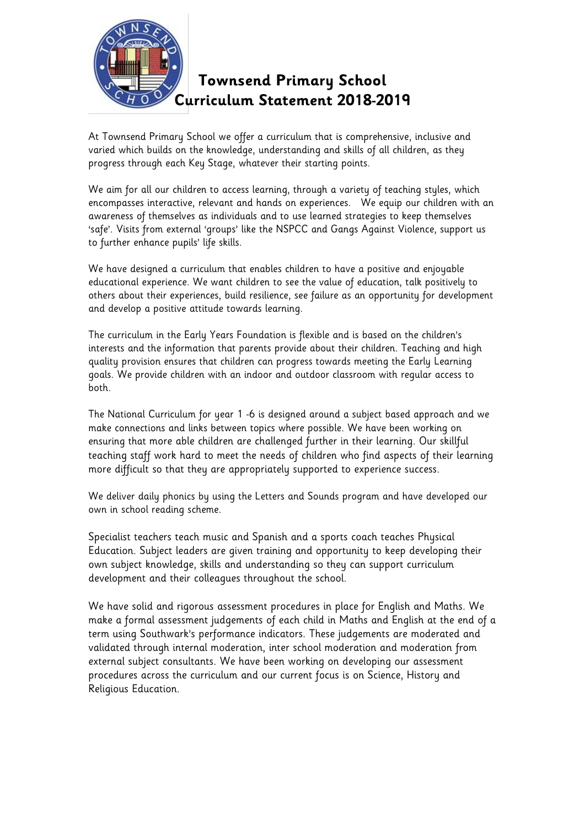

## **Townsend Primary School Curriculum Statement 2018-2019**

At Townsend Primary School we offer a curriculum that is comprehensive, inclusive and varied which builds on the knowledge, understanding and skills of all children, as they progress through each Key Stage, whatever their starting points.

We aim for all our children to access learning, through a variety of teaching styles, which encompasses interactive, relevant and hands on experiences. We equip our children with an awareness of themselves as individuals and to use learned strategies to keep themselves 'safe'. Visits from external 'groups' like the NSPCC and Gangs Against Violence, support us to further enhance pupils' life skills.

We have designed a curriculum that enables children to have a positive and enjoyable educational experience. We want children to see the value of education, talk positively to others about their experiences, build resilience, see failure as an opportunity for development and develop a positive attitude towards learning.

The curriculum in the Early Years Foundation is flexible and is based on the children's interests and the information that parents provide about their children. Teaching and high quality provision ensures that children can progress towards meeting the Early Learning goals. We provide children with an indoor and outdoor classroom with regular access to both.

The National Curriculum for year 1 -6 is designed around a subject based approach and we make connections and links between topics where possible. We have been working on ensuring that more able children are challenged further in their learning. Our skillful teaching staff work hard to meet the needs of children who find aspects of their learning more difficult so that they are appropriately supported to experience success.

We deliver daily phonics by using the Letters and Sounds program and have developed our own in school reading scheme.

Specialist teachers teach music and Spanish and a sports coach teaches Physical Education. Subject leaders are given training and opportunity to keep developing their own subject knowledge, skills and understanding so they can support curriculum development and their colleagues throughout the school.

We have solid and rigorous assessment procedures in place for English and Maths. We make a formal assessment judgements of each child in Maths and English at the end of a term using Southwark's performance indicators. These judgements are moderated and validated through internal moderation, inter school moderation and moderation from external subject consultants. We have been working on developing our assessment procedures across the curriculum and our current focus is on Science, History and Religious Education.